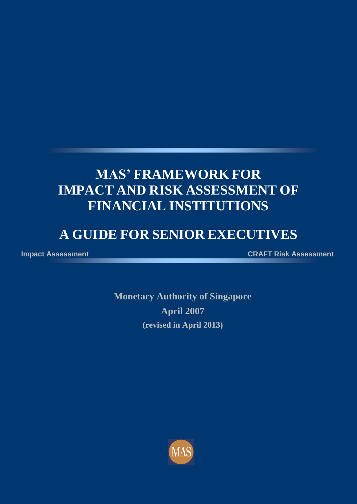# **MAS' FRAMEWORK FOR IMPACT AND RISK ASSESSMENT OF FINANCIAL INSTITUTIONS**

## **A GUIDE FOR SENIOR EXECUTIVES**

**Impact Assessment CRAFT Risk Assessment**

**Monetary Authority of Singapore April 2007 (revised in April 2013)**

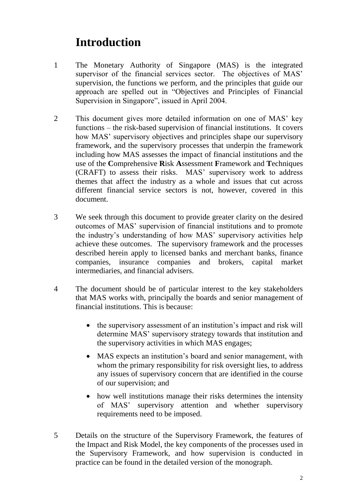### **Introduction**

- 1 The Monetary Authority of Singapore (MAS) is the integrated supervisor of the financial services sector. The objectives of MAS' supervision, the functions we perform, and the principles that guide our approach are spelled out in "Objectives and Principles of Financial Supervision in Singapore", issued in April 2004.
- 2 This document gives more detailed information on one of MAS' key functions – the risk-based supervision of financial institutions. It covers how MAS' supervisory objectives and principles shape our supervisory framework, and the supervisory processes that underpin the framework including how MAS assesses the impact of financial institutions and the use of the **C**omprehensive **R**isk **A**ssessment **F**ramework and **T**echniques (CRAFT) to assess their risks. MAS' supervisory work to address themes that affect the industry as a whole and issues that cut across different financial service sectors is not, however, covered in this document.
- 3 We seek through this document to provide greater clarity on the desired outcomes of MAS' supervision of financial institutions and to promote the industry's understanding of how MAS' supervisory activities help achieve these outcomes. The supervisory framework and the processes described herein apply to licensed banks and merchant banks, finance companies, insurance companies and brokers, capital market intermediaries, and financial advisers.
- 4 The document should be of particular interest to the key stakeholders that MAS works with, principally the boards and senior management of financial institutions. This is because:
	- the supervisory assessment of an institution's impact and risk will determine MAS' supervisory strategy towards that institution and the supervisory activities in which MAS engages;
	- MAS expects an institution's board and senior management, with whom the primary responsibility for risk oversight lies, to address any issues of supervisory concern that are identified in the course of our supervision; and
	- how well institutions manage their risks determines the intensity of MAS' supervisory attention and whether supervisory requirements need to be imposed.
- 5 Details on the structure of the Supervisory Framework, the features of the Impact and Risk Model, the key components of the processes used in the Supervisory Framework, and how supervision is conducted in practice can be found in the detailed version of the monograph.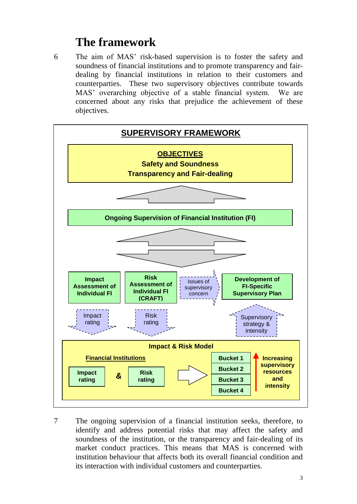#### **The framework**

6 The aim of MAS' risk-based supervision is to foster the safety and soundness of financial institutions and to promote transparency and fairdealing by financial institutions in relation to their customers and counterparties. These two supervisory objectives contribute towards MAS' overarching objective of a stable financial system. We are concerned about any risks that prejudice the achievement of these objectives.



7 The ongoing supervision of a financial institution seeks, therefore, to identify and address potential risks that may affect the safety and soundness of the institution, or the transparency and fair-dealing of its market conduct practices. This means that MAS is concerned with institution behaviour that affects both its overall financial condition and its interaction with individual customers and counterparties.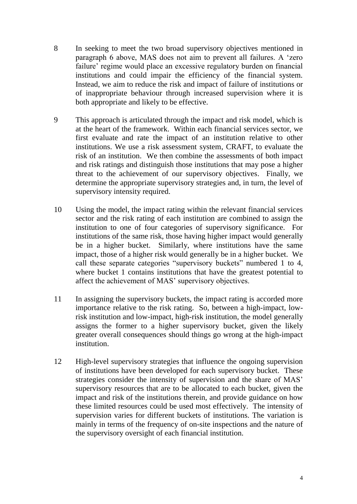- 8 In seeking to meet the two broad supervisory objectives mentioned in paragraph 6 above, MAS does not aim to prevent all failures. A 'zero failure' regime would place an excessive regulatory burden on financial institutions and could impair the efficiency of the financial system. Instead, we aim to reduce the risk and impact of failure of institutions or of inappropriate behaviour through increased supervision where it is both appropriate and likely to be effective.
- 9 This approach is articulated through the impact and risk model, which is at the heart of the framework. Within each financial services sector, we first evaluate and rate the impact of an institution relative to other institutions. We use a risk assessment system, CRAFT, to evaluate the risk of an institution. We then combine the assessments of both impact and risk ratings and distinguish those institutions that may pose a higher threat to the achievement of our supervisory objectives. Finally, we determine the appropriate supervisory strategies and, in turn, the level of supervisory intensity required.
- 10 Using the model, the impact rating within the relevant financial services sector and the risk rating of each institution are combined to assign the institution to one of four categories of supervisory significance. For institutions of the same risk, those having higher impact would generally be in a higher bucket. Similarly, where institutions have the same impact, those of a higher risk would generally be in a higher bucket. We call these separate categories "supervisory buckets" numbered 1 to 4, where bucket 1 contains institutions that have the greatest potential to affect the achievement of MAS' supervisory objectives.
- 11 In assigning the supervisory buckets, the impact rating is accorded more importance relative to the risk rating. So, between a high-impact, lowrisk institution and low-impact, high-risk institution, the model generally assigns the former to a higher supervisory bucket, given the likely greater overall consequences should things go wrong at the high-impact institution.
- 12 High-level supervisory strategies that influence the ongoing supervision of institutions have been developed for each supervisory bucket. These strategies consider the intensity of supervision and the share of MAS' supervisory resources that are to be allocated to each bucket, given the impact and risk of the institutions therein, and provide guidance on how these limited resources could be used most effectively. The intensity of supervision varies for different buckets of institutions. The variation is mainly in terms of the frequency of on-site inspections and the nature of the supervisory oversight of each financial institution.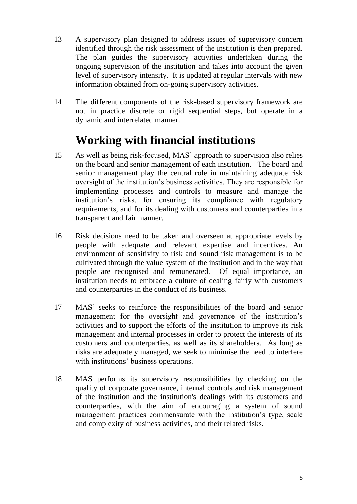- 13 A supervisory plan designed to address issues of supervisory concern identified through the risk assessment of the institution is then prepared. The plan guides the supervisory activities undertaken during the ongoing supervision of the institution and takes into account the given level of supervisory intensity. It is updated at regular intervals with new information obtained from on-going supervisory activities.
- 14 The different components of the risk-based supervisory framework are not in practice discrete or rigid sequential steps, but operate in a dynamic and interrelated manner.

#### **Working with financial institutions**

- 15 As well as being risk-focused, MAS' approach to supervision also relies on the board and senior management of each institution. The board and senior management play the central role in maintaining adequate risk oversight of the institution's business activities. They are responsible for implementing processes and controls to measure and manage the institution's risks, for ensuring its compliance with regulatory requirements, and for its dealing with customers and counterparties in a transparent and fair manner.
- 16 Risk decisions need to be taken and overseen at appropriate levels by people with adequate and relevant expertise and incentives. An environment of sensitivity to risk and sound risk management is to be cultivated through the value system of the institution and in the way that people are recognised and remunerated. Of equal importance, an institution needs to embrace a culture of dealing fairly with customers and counterparties in the conduct of its business.
- 17 MAS' seeks to reinforce the responsibilities of the board and senior management for the oversight and governance of the institution's activities and to support the efforts of the institution to improve its risk management and internal processes in order to protect the interests of its customers and counterparties, as well as its shareholders. As long as risks are adequately managed, we seek to minimise the need to interfere with institutions' business operations.
- 18 MAS performs its supervisory responsibilities by checking on the quality of corporate governance, internal controls and risk management of the institution and the institution's dealings with its customers and counterparties, with the aim of encouraging a system of sound management practices commensurate with the institution's type, scale and complexity of business activities, and their related risks.